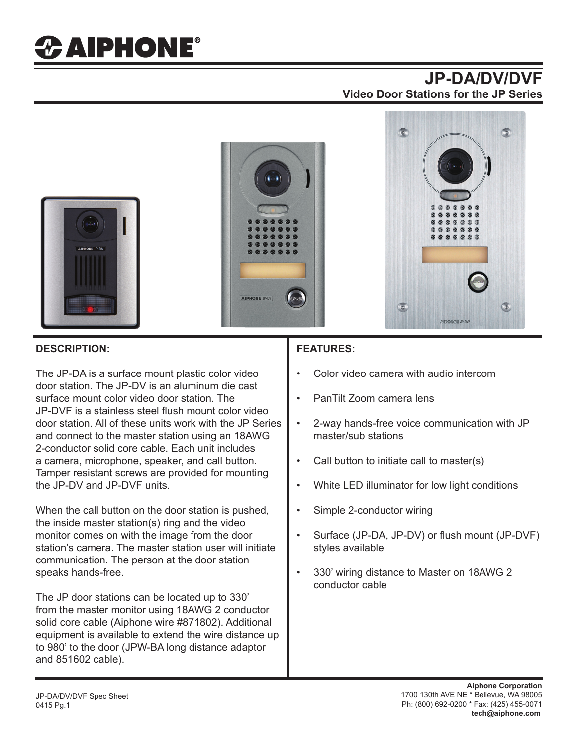# *CAIPHONE®*

## **JP-DA/DV/DVF Video Door Stations for the JP Series**



#### **DESCRIPTION:**

The JP-DA is a surface mount plastic color video door station. The JP-DV is an aluminum die cast surface mount color video door station. The JP-DVF is a stainless steel flush mount color video door station. All of these units work with the JP Series and connect to the master station using an 18AWG 2-conductor solid core cable. Each unit includes a camera, microphone, speaker, and call button. Tamper resistant screws are provided for mounting the JP-DV and JP-DVF units.

When the call button on the door station is pushed, the inside master station(s) ring and the video monitor comes on with the image from the door station's camera. The master station user will initiate communication. The person at the door station speaks hands-free.

The JP door stations can be located up to 330' from the master monitor using 18AWG 2 conductor solid core cable (Aiphone wire #871802). Additional equipment is available to extend the wire distance up to 980' to the door (JPW-BA long distance adaptor and 851602 cable).

#### **FEATURES:**

- Color video camera with audio intercom
- PanTilt Zoom camera lens
- 2-way hands-free voice communication with JP master/sub stations
- Call button to initiate call to master(s)
- White LED illuminator for low light conditions
- Simple 2-conductor wiring
- Surface (JP-DA, JP-DV) or flush mount (JP-DVF) styles available
- 330' wiring distance to Master on 18AWG 2 conductor cable